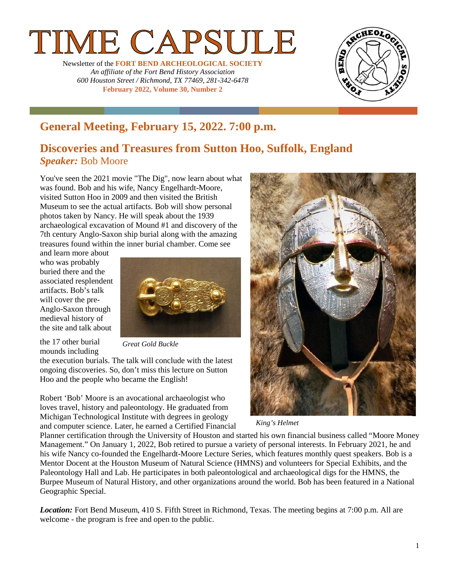# **IE CAPSULE**

Newsletter of the **FORT BEND ARCHEOLOGICAL SOCIETY** *An affiliate of the Fort Bend History Association 600 Houston Street / Richmond, TX 77469, 281-342-6478* **February 2022, Volume 30, Number 2**



## **General Meeting, February 15, 2022. 7:00 p.m.**

### **Discoveries and Treasures from Sutton Hoo, Suffolk, England** *Speaker:* Bob Moore

You've seen the 2021 movie "The Dig", now learn about what was found. Bob and his wife, Nancy Engelhardt-Moore, visited Sutton Hoo in 2009 and then visited the British Museum to see the actual artifacts. Bob will show personal photos taken by Nancy. He will speak about the 1939 archaeological excavation of Mound #1 and discovery of the 7th century Anglo-Saxon ship burial along with the amazing treasures found within the inner burial chamber. Come see

and learn more about who was probably buried there and the associated resplendent artifacts. Bob's talk will cover the pre-Anglo-Saxon through medieval history of the site and talk about



the 17 other burial mounds including

*Great Gold Buckle*

the execution burials. The talk will conclude with the latest ongoing discoveries. So, don't miss this lecture on Sutton Hoo and the people who became the English!

Robert 'Bob' Moore is an avocational archaeologist who loves travel, history and paleontology. He graduated from Michigan Technological Institute with degrees in geology and computer science. Later, he earned a Certified Financial



*King's Helmet*

Planner certification through the University of Houston and started his own financial business called "Moore Money Management." On January 1, 2022, Bob retired to pursue a variety of personal interests. In February 2021, he and his wife Nancy co-founded the Engelhardt-Moore Lecture Series, which features monthly quest speakers. Bob is a Mentor Docent at the Houston Museum of Natural Science (HMNS) and volunteers for Special Exhibits, and the Paleontology Hall and Lab. He participates in both paleontological and archaeological digs for the HMNS, the Burpee Museum of Natural History, and other organizations around the world. Bob has been featured in a National Geographic Special.

*Location:* Fort Bend Museum, 410 S. Fifth Street in Richmond, Texas. The meeting begins at 7:00 p.m. All are welcome - the program is free and open to the public.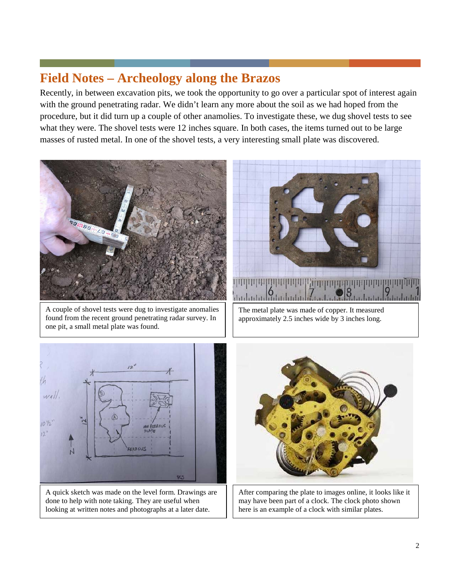## **Field Notes – Archeology along the Brazos**

Recently, in between excavation pits, we took the opportunity to go over a particular spot of interest again with the ground penetrating radar. We didn't learn any more about the soil as we had hoped from the procedure, but it did turn up a couple of other anamolies. To investigate these, we dug shovel tests to see what they were. The shovel tests were 12 inches square. In both cases, the items turned out to be large masses of rusted metal. In one of the shovel tests, a very interesting small plate was discovered.



A couple of shovel tests were dug to investigate anomalies found from the recent ground penetrating radar survey. In one pit, a small metal plate was found.



The metal plate was made of copper. It measured approximately 2.5 inches wide by 3 inches long.



A quick sketch was made on the level form. Drawings are done to help with note taking. They are useful when looking at written notes and photographs at a later date.



After comparing the plate to images online, it looks like it may have been part of a clock. The clock photo shown here is an example of a clock with similar plates.